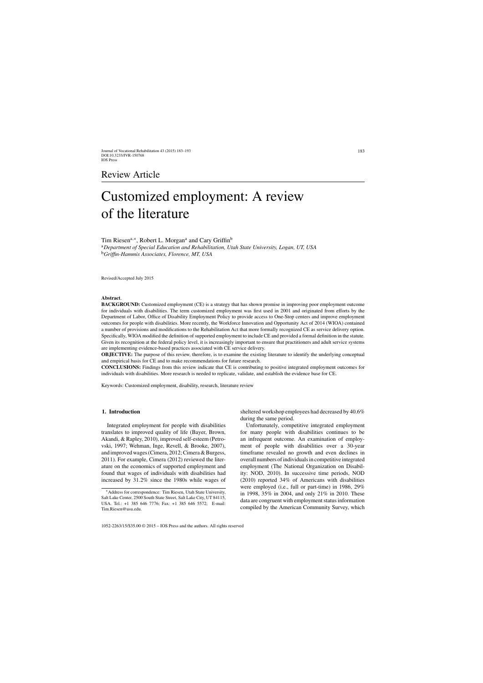# Review Article

# Customized employment: A review of the literature

Tim Riesen<sup>a,∗</sup>, Robert L. Morgan<sup>a</sup> and Cary Griffin<sup>b</sup>

<sup>a</sup>*Department of Special Education and Rehabilitation, Utah State University, Logan, UT, USA* <sup>b</sup>*Griffin-Hammis Associates, Florence, MT, USA*

Revised/Accepted July 2015

#### **Abstract**.

**BACKGROUND:** Customized employment (CE) is a strategy that has shown promise in improving poor employment outcome for individuals with disabilities. The term customized employment was first used in 2001 and originated from efforts by the Department of Labor, Office of Disability Employment Policy to provide access to One-Stop centers and improve employment outcomes for people with disabilities. More recently, the Workforce Innovation and Opportunity Act of 2014 (WIOA) contained a number of provisions and modifications to the Rehabilitation Act that more formally recognized CE as service delivery option. Specifically, WIOA modified the definition of supported employment to include CE and provided a formal definition in the statute. Given its recognition at the federal policy level, it is increasingly important to ensure that practitioners and adult service systems are implementing evidence-based practices associated with CE service delivery.

**OBJECTIVE:** The purpose of this review, therefore, is to examine the existing literature to identify the underlying conceptual and empirical basis for CE and to make recommendations for future research.

**CONCLUSIONS:** Findings from this review indicate that CE is contributing to positive integrated employment outcomes for individuals with disabilities. More research is needed to replicate, validate, and establish the evidence base for CE.

Keywords: Customized employment, disability, research, literature review

# **1. Introduction**

Integrated employment for people with disabilities translates to improved quality of life (Bayer, Brown, Akandi, & Rapley, 2010), improved self-esteem (Petrovski, 1997; Wehman, Inge, Revell, & Brooke, 2007), and improved wages (Cimera, 2012; Cimera & Burgess, 2011). For example, Cimera (2012) reviewed the literature on the economics of supported employment and found that wages of individuals with disabilities had increased by 31.2% since the 1980s while wages of sheltered workshop employees had decreased by 40.6% during the same period.

Unfortunately, competitive integrated employment for many people with disabilities continues to be an infrequent outcome. An examination of employment of people with disabilities over a 30-year timeframe revealed no growth and even declines in overall numbers of individuals in competitive integrated employment (The National Organization on Disability: NOD, 2010). In successive time periods, NOD (2010) reported 34% of Americans with disabilities were employed (i.e., full or part-time) in 1986, 29% in 1998, 35% in 2004, and only 21% in 2010. These data are congruent with employment status information compiled by the American Community Survey, which

<sup>∗</sup>Address for correspondence: Tim Riesen, Utah State University, Salt Lake Center, 2500 South State Street, Salt Lake City, UT 84115, USA. Tel.: +1 385 646 7776; Fax: +1 385 646 5572; E-mail: [Tim.Riesen@usu.edu.](mailto:Tim.Riesen@usu.edu)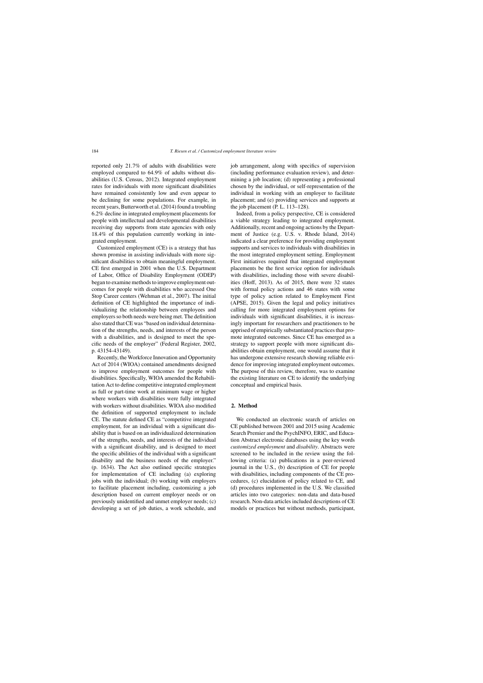reported only 21.7% of adults with disabilities were employed compared to 64.9% of adults without disabilities (U.S. Census, 2012). Integrated employment rates for individuals with more significant disabilities have remained consistently low and even appear to be declining for some populations. For example, in recent years, Butterworth et al. (2014) found a troubling 6.2% decline in integrated employment placements for people with intellectual and developmental disabilities receiving day supports from state agencies with only 18.4% of this population currently working in integrated employment.

Customized employment (CE) is a strategy that has shown promise in assisting individuals with more significant disabilities to obtain meaningful employment. CE first emerged in 2001 when the U.S. Department of Labor, Office of Disability Employment (ODEP) began to examine methods to improve employment outcomes for people with disabilities who accessed One Stop Career centers (Wehman et al., 2007). The initial definition of CE highlighted the importance of individualizing the relationship between employees and employers so both needs were being met. The definition also stated that CE was "based on individual determination of the strengths, needs, and interests of the person with a disabilities, and is designed to meet the specific needs of the employer" (Federal Register, 2002, p. 43154-43149).

Recently, the Workforce Innovation and Opportunity Act of 2014 (WIOA) contained amendments designed to improve employment outcomes for people with disabilities. Specifically, WIOA amended the Rehabilitation Act to define competitive integrated employment as full or part-time work at minimum wage or higher where workers with disabilities were fully integrated with workers without disabilities. WIOA also modified the definition of supported employment to include CE. The statute defined CE as "competitive integrated employment, for an individual with a significant disability that is based on an individualized determination of the strengths, needs, and interests of the individual with a significant disability, and is designed to meet the specific abilities of the individual with a significant disability and the business needs of the employer." (p. 1634). The Act also outlined specific strategies for implementation of CE including (a) exploring jobs with the individual; (b) working with employers to facilitate placement including, customizing a job description based on current employer needs or on previously unidentified and unmet employer needs; (c) developing a set of job duties, a work schedule, and job arrangement, along with specifics of supervision (including performance evaluation review), and determining a job location; (d) representing a professional chosen by the individual, or self-representation of the individual in working with an employer to facilitate placement; and (e) providing services and supports at the job placement (P. L. 113–128).

Indeed, from a policy perspective, CE is considered a viable strategy leading to integrated employment. Additionally, recent and ongoing actions by the Department of Justice (e.g. U.S. v. Rhode Island, 2014) indicated a clear preference for providing employment supports and services to individuals with disabilities in the most integrated employment setting. Employment First initiatives required that integrated employment placements be the first service option for individuals with disabilities, including those with severe disabilities (Hoff, 2013). As of 2015, there were 32 states with formal policy actions and 46 states with some type of policy action related to Employment First (APSE, 2015). Given the legal and policy initiatives calling for more integrated employment options for individuals with significant disabilities, it is increasingly important for researchers and practitioners to be apprised of empirically substantiated practices that promote integrated outcomes. Since CE has emerged as a strategy to support people with more significant disabilities obtain employment, one would assume that it has undergone extensive research showing reliable evidence for improving integrated employment outcomes. The purpose of this review, therefore, was to examine the existing literature on CE to identify the underlying conceptual and empirical basis.

# **2. Method**

We conducted an electronic search of articles on CE published between 2001 and 2015 using Academic Search Premier and the PsychINFO, ERIC, and Education Abstract electronic databases using the key words *customized employment* and *disability*. Abstracts were screened to be included in the review using the following criteria: (a) publications in a peer-reviewed journal in the U.S., (b) description of CE for people with disabilities, including components of the CE procedures, (c) elucidation of policy related to CE, and (d) procedures implemented in the U.S. We classified articles into two categories: non-data and data-based research. Non-data articles included descriptions of CE models or practices but without methods, participant,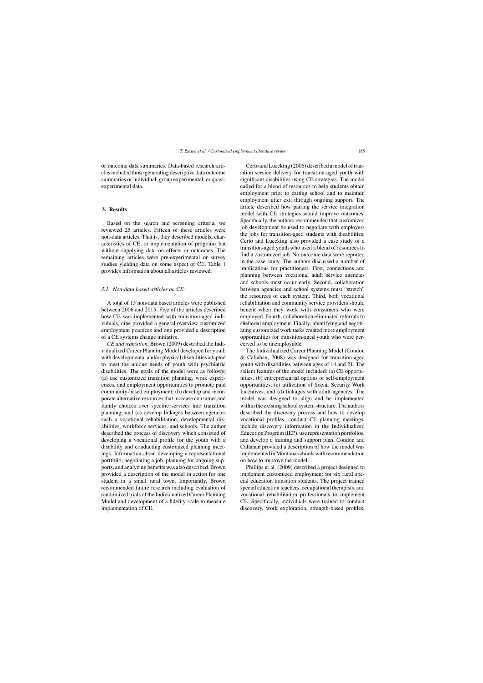or outcome data summaries. Data-based research articles included those generating descriptive data outcome summaries or individual, group experimental, or quasiexperimental data.

# **3. Results**

Based on the search and screening criteria, we reviewed 25 articles. Fifteen of these articles were non-data articles. That is, they described models, characteristics of CE, or implementation of programs but without supplying data on effects or outcomes. The remaining articles were pre-experimental or survey studies yielding data on some aspect of CE. Table 1 provides information about all articles reviewed.

# *3.1. Non-data based articles on CE*

A total of 15 non-data based articles were published between 2006 and 2015. Five of the articles described how CE was implemented with transition-aged individuals, nine provided a general overview customized employment practices and one provided a description of a CE systems change initiative.

*CE and transition.* Brown (2009) described the Individualized Career Planning Model developed for youth with developmental and/or physical disabilities adapted to meet the unique needs of youth with psychiatric disabilities. The goals of the model were as follows: (a) use customized transition planning, work experiences, and employment opportunities to promote paid community-based employment; (b) develop and incorporate alternative resources that increase consumer and family choices over specific services into transition planning; and (c) develop linkages between agencies such a vocational rehabilitation, developmental disabilities, workforce services, and schools. The author described the process of discovery which consisted of developing a vocational profile for the youth with a disability and conducting customized planning meetings. Information about developing a representational portfolio, negotiating a job, planning for ongoing supports, and analyzing benefits was also described. Brown provided a description of the model in action for one student in a small rural town. Importantly, Brown recommended future research including evaluation of randomized trials of the Individualized Career Planning Model and development of a fidelity scale to measure implementation of CE.

Certo and Luecking (2006) described a model of transition service delivery for transition-aged youth with significant disabilities using CE strategies. The model called for a blend of resources to help students obtain employment prior to exiting school and to maintain employment after exit through ongoing support. The article described how pairing the service integration model with CE strategies would improve outcomes. Specifically, the authors recommended that customized job development be used to negotiate with employers the jobs for transition-aged students with disabilities. Certo and Luecking also provided a case study of a transition-aged youth who used a blend of resources to find a customized job. No outcome data were reported in the case study. The authors discussed a number of implications for practitioners. First, connections and planning between vocational adult service agencies and schools must occur early. Second, collaboration between agencies and school systems must "stretch" the resources of each system. Third, both vocational rehabilitation and community service providers should benefit when they work with consumers who were employed. Fourth, collaboration eliminated referrals to sheltered employment. Finally, identifying and negotiating customized work tasks created more employment opportunities for transition-aged youth who were perceived to be unemployable.

The Individualized Career Planning Model (Condon & Callahan, 2008) was designed for transition-aged youth with disabilities between ages of 14 and 21. The salient features of the model included: (a) CE opportunities, (b) entrepreneurial options or self-employment opportunities, (c) utilization of Social Security Work Incentives, and (d) linkages with adult agencies. The model was designed to align and be implemented within the existing school system structure. The authors described the discovery process and how to develop vocational profiles, conduct CE planning meetings, include discovery information in the Individualized Education Program (IEP), use representation portfolios, and develop a training and support plan. Condon and Callahan provided a description of how the model was implemented in Montana schools with recommendation on how to improve the model.

Phillips et al. (2009) described a project designed to implement customized employment for six rural special education transition students. The project trained special education teachers, occupational therapists, and vocational rehabilitation professionals to implement CE. Specifically, individuals were trained to conduct discovery, work exploration, strength-based profiles,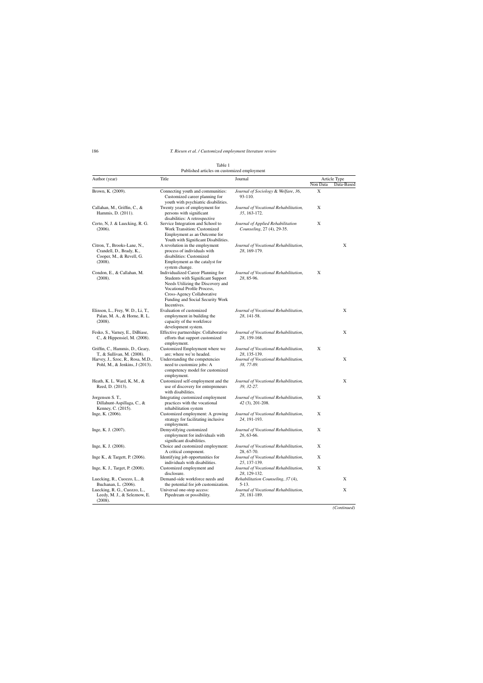| Author (year)                                                                                   | Title                                                                                                                                                                                                                               | Journal                                                         | Article Type |            |
|-------------------------------------------------------------------------------------------------|-------------------------------------------------------------------------------------------------------------------------------------------------------------------------------------------------------------------------------------|-----------------------------------------------------------------|--------------|------------|
|                                                                                                 |                                                                                                                                                                                                                                     |                                                                 | Non Data     | Data-Based |
| Brown, K. (2009).                                                                               | Connecting youth and communities:<br>Customized career planning for<br>youth with psychiatric disabilities.                                                                                                                         | Journal of Sociology & Welfare, 36,<br>93-110.                  | $\mathbf X$  |            |
| Callahan, M., Griffin, C., &<br>Hammis, D. (2011).                                              | Twenty years of employment for<br>persons with significant<br>disabilities: A retrospective                                                                                                                                         | Journal of Vocational Rehabilitation,<br>35, 163-172.           | Χ            |            |
| Certo, N, J. & Luecking, R. G.<br>(2006).                                                       | Service Integration and School to<br>Work Transition: Customized<br>Employment as an Outcome for<br>Youth with Significant Disabilities.                                                                                            | Journal of Applied Rehabilitation<br>Counseling, 27 (4), 29-35. | X            |            |
| Citron, T., Brooks-Lane, N.,<br>Crandell, D., Brady, K.,<br>Cooper, M., & Revell, G.<br>(2008). | A revolution in the employment<br>process of individuals with<br>disabilities: Customized<br>Employment as the catalyst for<br>system change.                                                                                       | Journal of Vocational Rehabilitation,<br>28, 169-179.           |              | X          |
| Condon, E., & Callahan, M.<br>(2008).                                                           | Individualized Career Planning for<br><b>Students with Significant Support</b><br>Needs Utilizing the Discovery and<br>Vocational Profile Process,<br>Cross-Agency Collaborative<br>Funding and Social Security Work<br>Incentives. | Journal of Vocational Rehabilitation,<br>28, 85-96.             | Χ            |            |
| Elinson, L., Frey, W. D., Li, T.,<br>Palan, M. A., & Horne, R. L.<br>(2008).                    | Evaluation of customized<br>employment in building the<br>capacity of the workforce<br>development system.                                                                                                                          | Journal of Vocational Rehabilitation,<br>28, 141-58.            |              | X          |
| Fesko, S., Varney, E., DiBiase,<br>C., & Hippensiel, M. (2008).                                 | Effective partnerships: Collaborative<br>efforts that support customized<br>employment.                                                                                                                                             | Journal of Vocational Rehabilitation,<br>28, 159-168.           |              | X          |
| Griffin, C., Hammis, D., Geary,<br>T., & Sullivan, M. (2008).                                   | Customized Employment where we<br>are; where we're headed.                                                                                                                                                                          | Journal of Vocational Rehabilitation,<br>28, 135-139.           | Χ            |            |
| Harvey, J., Szoc, R., Rosa, M.D.,<br>Pohl, M., & Jenkins, J (2013).                             | Understanding the competencies<br>need to customize jobs: A<br>competency model for customized<br>employment.                                                                                                                       | Journal of Vocational Rehabilitation,<br>38, 77-89.             |              | X          |
| Heath, K. L. Ward, K, M., &<br>Reed, D. (2013).                                                 | Customized self-employment and the<br>use of discovery for entrepreneurs<br>with disabilities.                                                                                                                                      | Journal of Vocational Rehabilitation,<br>39, 32-27.             |              | X          |
| Jorgensen S. T.,<br>Dillahunt-Aspillaga, C., &<br>Kenney, C. (2015).                            | Integrating customized employment<br>practices with the vocational<br>rehabilitation system                                                                                                                                         | Journal of Vocational Rehabilitation,<br>42 (3), 201-208.       | X            |            |
| Inge, K. (2006).                                                                                | Customized employment: A growing<br>strategy for facilitating inclusive<br>employment.                                                                                                                                              | Journal of Vocational Rehabilitation,<br>24, 191-193.           | X            |            |
| Inge, K. J. (2007).                                                                             | Demystifying customized<br>employment for individuals with<br>significant disabilities.                                                                                                                                             | Journal of Vocational Rehabilitation,<br>26, 63-66.             | X            |            |
| Inge, K. J. (2008).                                                                             | Choice and customized employment:<br>A critical component.                                                                                                                                                                          | Journal of Vocational Rehabilitation,<br>28, 67-70.             | X            |            |
| Inge K., & Targett, P. (2006).                                                                  | Identifying job opportunities for<br>individuals with disabilities.                                                                                                                                                                 | Journal of Vocational Rehabilitation,<br>25, 137-139.           | X            |            |
| Inge, K. J., Target, P. (2008).                                                                 | Customized employment and<br>disclosure.                                                                                                                                                                                            | Journal of Vocational Rehabilitation,<br>28, 129-132.           | X            |            |
| Luecking, R., Cuozzo, L., &<br>Buchanan, L. (2006).                                             | Demand-side workforce needs and<br>the potential for job customization.                                                                                                                                                             | Rehabilitation Counseling, 37 (4),<br>5-13.                     |              | X          |
| Luecking, R. G., Cuozzo, L.,<br>Leedy, M. J., & Seleznow, E.<br>(2008).                         | Universal one-stop access:<br>Pipedream or possibility.                                                                                                                                                                             | Journal of Vocational Rehabilitation,<br>28, 181-189.           |              | X          |

Table 1 Published articles on customized employment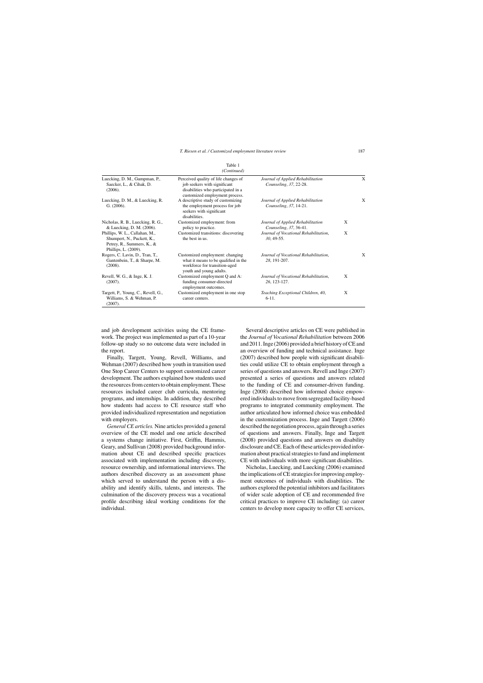| Luecking, D. M., Gumpman, P.,<br>Saecker, L., & Cihak, D.<br>(2006).                                                  | Perceived quality of life changes of<br>job seekers with significant<br>disabilities who participated in a<br>customized employment process. | Journal of Applied Rehabilitation<br>Counseling, 37, 22-28. |   | X |
|-----------------------------------------------------------------------------------------------------------------------|----------------------------------------------------------------------------------------------------------------------------------------------|-------------------------------------------------------------|---|---|
| Luecking, D. M., & Luecking, R.<br>G. (2006).                                                                         | A descriptive study of customizing<br>the employment process for job<br>seekers with significant<br>disabilities.                            | Journal of Applied Rehabilitation<br>Counseling, 37, 14-21. |   | X |
| Nicholas, R. B., Luecking, R. G.,<br>& Luecking, D. M. (2006).                                                        | Customized employment: from<br>policy to practice.                                                                                           | Journal of Applied Rehabilitation<br>Counseling, 37, 36-41. | X |   |
| Phillips, W. L., Callahan, M.,<br>Shumpert, N., Puckett, K.,<br>Petrey, R., Summers, K., $\&$<br>Phillips, L. (2009). | Customized transitions: discovering<br>the best in us.                                                                                       | Journal of Vocational Rehabilitation,<br>$30, 49-55.$       | X |   |
| Rogers, C. Lavin, D., Tran, T.,<br>Gantenbein, T., & Sharpe, M.<br>(2008).                                            | Customized employment: changing<br>what it means to be qualified in the<br>workforce for transition-aged<br>youth and young adults.          | Journal of Vocational Rehabilitation,<br>28, 191-207.       |   | Х |
| Revell, W. G., $&$ Inge, K. J.<br>(2007).                                                                             | Customized employment Q and A:<br>funding consumer-directed<br>employment outcomes.                                                          | Journal of Vocational Rehabilitation,<br>26, 123-127.       | X |   |
| Targett, P., Young, C., Revell, G.,<br>Williams, S. & Wehman, P.<br>(2007).                                           | Customized employment in one stop<br>career centers.                                                                                         | Teaching Exceptional Children, 40,<br>$6-11.$               | X |   |

Table 1 *(Continued)*

and job development activities using the CE framework. The project was implemented as part of a 10-year follow-up study so no outcome data were included in the report.

Finally, Targett, Young, Revell, Williams, and Wehman (2007) described how youth in transition used One Stop Career Centers to support customized career development. The authors explained how students used the resources from centers to obtain employment. These resources included career club curricula, mentoring programs, and internships. In addition, they described how students had access to CE resource staff who provided individualized representation and negotiation with employers.

*General CE articles.* Nine articles provided a general overview of the CE model and one article described a systems change initiative. First, Griffin, Hammis, Geary, and Sullivan (2008) provided background information about CE and described specific practices associated with implementation including discovery, resource ownership, and informational interviews. The authors described discovery as an assessment phase which served to understand the person with a disability and identify skills, talents, and interests. The culmination of the discovery process was a vocational profile describing ideal working conditions for the individual.

Several descriptive articles on CE were published in the *Journal of Vocational Rehabilitation* between 2006 and 2011. Inge (2006) provided a brief history of CE and an overview of funding and technical assistance. Inge (2007) described how people with significant disabilities could utilize CE to obtain employment through a series of questions and answers. Revell and Inge (2007) presented a series of questions and answers related to the funding of CE and consumer-driven funding. Inge (2008) described how informed choice empowered individuals to move from segregated facility-based programs to integrated community employment. The author articulated how informed choice was embedded in the customization process. Inge and Targett (2006) described the negotiation process, again through a series of questions and answers. Finally, Inge and Targett (2008) provided questions and answers on disability disclosure and CE. Each of these articles provided information about practical strategies to fund and implement CE with individuals with more significant disabilities.

Nicholas, Luecking, and Luecking (2006) examined the implications of CE strategies for improving employment outcomes of individuals with disabilities. The authors explored the potential inhibitors and facilitators of wider scale adoption of CE and recommended five critical practices to improve CE including: (a) career centers to develop more capacity to offer CE services,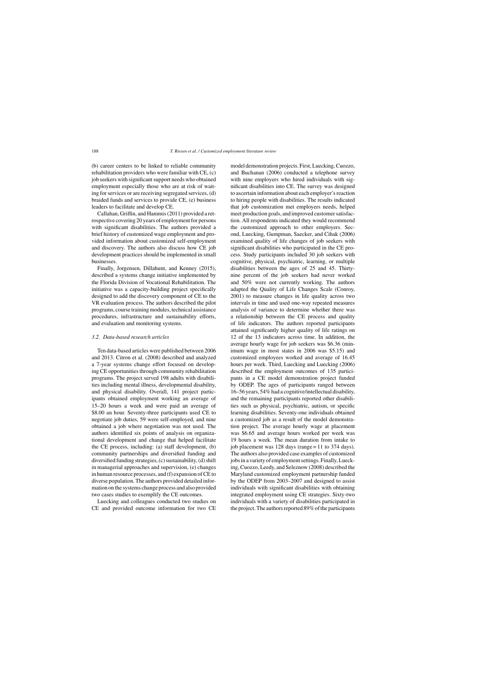(b) career centers to be linked to reliable community rehabilitation providers who were familiar with CE, (c) job seekers with significant support needs who obtained employment especially those who are at risk of waiting for services or are receiving segregated services, (d) braided funds and services to provide CE, (e) business leaders to facilitate and develop CE.

Callahan, Griffin, and Hammis (2011) provided a retrospective covering 20 years of employment for persons with significant disabilities. The authors provided a brief history of customized wage employment and provided information about customized self-employment and discovery. The authors also discuss how CE job development practices should be implemented in small businesses.

Finally, Jorgensen, Dillahunt, and Kenney (2015), described a systems change initiative implemented by the Florida Division of Vocational Rehabilitation. The initiative was a capacity-building project specifically designed to add the discovery component of CE to the VR evaluation process. The authors described the pilot programs, course training modules, technical assistance procedures, infrastructure and sustainability efforts, and evaluation and monitoring systems.

#### *3.2. Data-based research articles*

Ten data-based articles were published between 2006 and 2013. Citron et al. (2008) described and analyzed a 7-year systems change effort focused on developing CE opportunities through community rehabilitation programs. The project served 198 adults with disabilities including mental illness, developmental disability, and physical disability. Overall, 141 project participants obtained employment working an average of 15–20 hours a week and were paid an average of \$8.00 an hour. Seventy-three participants used CE to negotiate job duties, 59 were self-employed, and nine obtained a job where negotiation was not used. The authors identified six points of analysis on organizational development and change that helped facilitate the CE process, including: (a) staff development, (b) community partnerships and diversified funding and diversified funding strategies, (c) sustainability, (d) shift in managerial approaches and supervision, (e) changes in human resource processes, and (f) expansion of CE to diverse population. The authors provided detailed information on the systems change process and also provided two cases studies to exemplify the CE outcomes.

Luecking and colleagues conducted two studies on CE and provided outcome information for two CE model demonstration projects. First, Luecking, Cuozzo, and Buchanan (2006) conducted a telephone survey with nine employers who hired individuals with significant disabilities into CE. The survey was designed to ascertain information about each employer's reaction to hiring people with disabilities. The results indicated that job customization met employers needs, helped meet production goals, and improved customer satisfaction. All respondents indicated they would recommend the customized approach to other employers. Second, Luecking, Gumpman, Saecker, and Cihak (2006) examined quality of life changes of job seekers with significant disabilities who participated in the CE process. Study participants included 30 job seekers with cognitive, physical, psychiatric, learning, or multiple disabilities between the ages of 25 and 45. Thirtynine percent of the job seekers had never worked and 50% were not currently working. The authors adapted the Quality of Life Changes Scale (Conroy, 2001) to measure changes in life quality across two intervals in time and used one-way repeated measures analysis of variance to determine whether there was a relationship between the CE process and quality of life indicators. The authors reported participants attained significantly higher quality of life ratings on 12 of the 13 indicators across time. In addition, the average hourly wage for job seekers was \$6.36 (minimum wage in most states in 2006 was \$5.15) and customized employees worked and average of 16.45 hours per week. Third, Luecking and Luecking (2006) described the employment outcomes of 135 participants in a CE model demonstration project funded by ODEP. The ages of participants ranged between 16–56 years, 54% had a cognitive/intellectual disability, and the remaining participants reported other disabilities such as physical, psychiatric, autism, or specific learning disabilities. Seventy-one individuals obtained a customized job as a result of the model demonstration project. The average hourly wage at placement was \$6.65 and average hours worked per week was 19 hours a week. The mean duration from intake to job placement was 128 days (range = 11 to 374 days). The authors also provided case examples of customized jobs in a variety of employment settings. Finally, Luecking, Cuozzo, Leedy, and Seleznow (2008) described the Maryland customized employment partnership funded by the ODEP from 2003–2007 and designed to assist individuals with significant disabilities with obtaining integrated employment using CE strategies. Sixty-two individuals with a variety of disabilities participated in the project. The authors reported 89% of the participants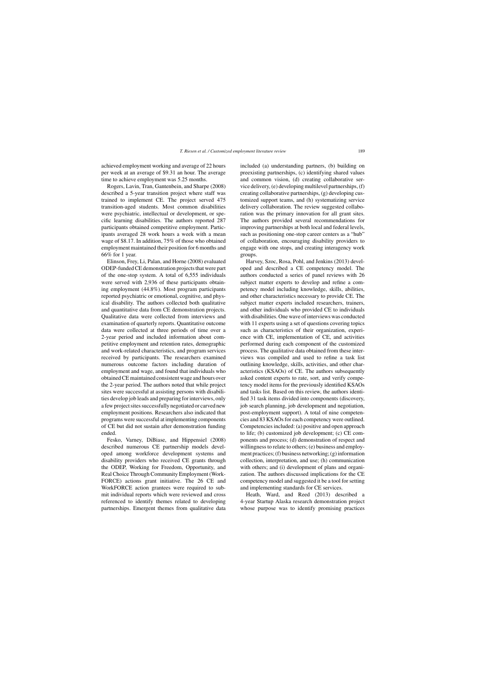achieved employment working and average of 22 hours per week at an average of \$9.31 an hour. The average time to achieve employment was 5.25 months.

Rogers, Lavin, Tran, Gantenbein, and Sharpe (2008) described a 5-year transition project where staff was trained to implement CE. The project served 475 transition-aged students. Most common disabilities were psychiatric, intellectual or development, or specific learning disabilities. The authors reported 287 participants obtained competitive employment. Participants averaged 28 work hours a week with a mean wage of \$8.17. In addition, 75% of those who obtained employment maintained their position for 6 months and 66% for 1 year.

Elinson, Frey, Li, Palan, and Horne (2008) evaluated ODEP-funded CE demonstration projects that were part of the one-stop system. A total of 6,555 individuals were served with 2,936 of these participants obtaining employment (44.8%). Most program participants reported psychiatric or emotional, cognitive, and physical disability. The authors collected both qualitative and quantitative data from CE demonstration projects. Qualitative data were collected from interviews and examination of quarterly reports. Quantitative outcome data were collected at three periods of time over a 2-year period and included information about competitive employment and retention rates, demographic and work-related characteristics, and program services received by participants. The researchers examined numerous outcome factors including duration of employment and wage, and found that individuals who obtained CE maintained consistent wage and hours over the 2-year period. The authors noted that while project sites were successful at assisting persons with disabilities develop job leads and preparing for interviews, only a few project sites successfully negotiated or carved new employment positions. Researchers also indicated that programs were successful at implementing components of CE but did not sustain after demonstration funding ended.

Fesko, Varney, DiBiase, and Hippensiel (2008) described numerous CE partnership models developed among workforce development systems and disability providers who received CE grants through the ODEP, Working for Freedom, Opportunity, and Real Choice Through Community Employment (Work-FORCE) actions grant initiative. The 26 CE and WorkFORCE action grantees were required to submit individual reports which were reviewed and cross referenced to identify themes related to developing partnerships. Emergent themes from qualitative data included (a) understanding partners, (b) building on preexisting partnerships, (c) identifying shared values and common vision, (d) creating collaborative service delivery, (e) developing multilevel partnerships, (f) creating collaborative partnerships, (g) developing customized support teams, and (h) systematizing service delivery collaboration. The review suggested collaboration was the primary innovation for all grant sites. The authors provided several recommendations for improving partnerships at both local and federal levels, such as positioning one-stop career centers as a "hub" of collaboration, encouraging disability providers to engage with one stops, and creating interagency work groups.

Harvey, Szoc, Rosa, Pohl, and Jenkins (2013) developed and described a CE competency model. The authors conducted a series of panel reviews with 26 subject matter experts to develop and refine a competency model including knowledge, skills, abilities, and other characteristics necessary to provide CE. The subject matter experts included researchers, trainers, and other individuals who provided CE to individuals with disabilities. One wave of interviews was conducted with 11 experts using a set of questions covering topics such as characteristics of their organization, experience with CE, implementation of CE, and activities performed during each component of the customized process. The qualitative data obtained from these interviews was compiled and used to refine a task list outlining knowledge, skills, activities, and other characteristics (KSAOs) of CE. The authors subsequently asked content experts to rate, sort, and verify competency model items for the previously identified KSAOs and tasks list. Based on this review, the authors identified 31 task items divided into components (discovery, job search planning, job development and negotiation, post-employment support). A total of nine competencies and 83 KSAOs for each competency were outlined. Competencies included: (a) positive and open approach to life; (b) customized job development; (c) CE components and process; (d) demonstration of respect and willingness to relate to others; (e) business and employment practices; (f) business networking; (g) information collection, interpretation, and use; (h) communication with others; and (i) development of plans and organization. The authors discussed implications for the CE competency model and suggested it be a tool for setting and implementing standards for CE services.

Heath, Ward, and Reed (2013) described a 4-year Startup Alaska research demonstration project whose purpose was to identify promising practices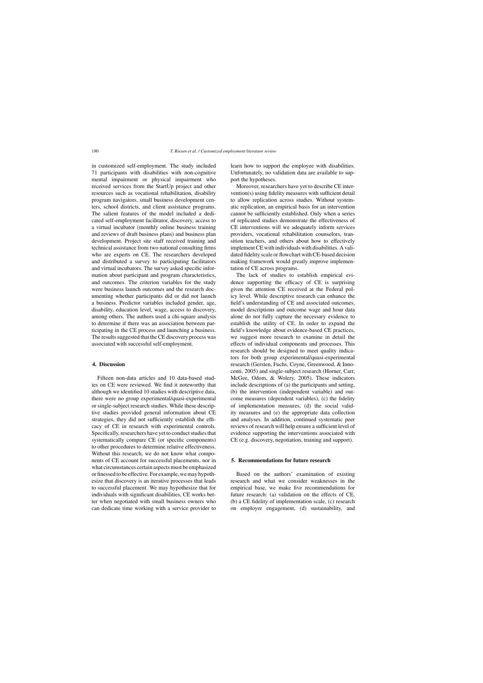in customized self-employment. The study included 71 participants with disabilities with non-cognitive mental impairment or physical impairment who received services from the StartUp project and other resources such as vocational rehabilitation, disability program navigators, small business development centers, school districts, and client assistance programs. The salient features of the model included a dedicated self-employment facilitator, discovery, access to a virtual incubator (monthly online business training and reviews of draft business plans) and business plan development. Project site staff received training and technical assistance from two national consulting firms who are experts on CE. The researchers developed and distributed a survey to participating facilitators and virtual incubators. The survey asked specific information about participant and program characteristics, and outcomes. The criterion variables for the study were business launch outcomes and the research documenting whether participants did or did not launch a business. Predictor variables included gender, age, disability, education level, wage, access to discovery, among others. The authors used a chi-square analysis to determine if there was an association between participating in the CE process and launching a business. The results suggested that the CE discovery process was associated with successful self-employment.

# **4. Discussion**

Fifteen non-data articles and 10 data-based studies on CE were reviewed. We find it noteworthy that although we identified 10 studies with descriptive data, there were no group experimental/quasi-experimental or single-subject research studies. While these descriptive studies provided general information about CE strategies, they did not sufficiently establish the efficacy of CE in research with experimental controls. Specifically, researchers have yet to conduct studies that systematically compare CE (or specific components) to other procedures to determine relative effectiveness. Without this research, we do not know what components of CE account for successful placements, nor in what circumstances certain aspects must be emphasized or finessed to be effective. For example, we may hypothesize that discovery is an iterative processes that leads to successful placement. We may hypothesize that for individuals with significant disabilities, CE works better when negotiated with small business owners who can dedicate time working with a service provider to learn how to support the employee with disabilities. Unfortunately, no validation data are available to support the hypotheses.

Moreover, researchers have yet to describe CE intervention(s) using fidelity measures with sufficient detail to allow replication across studies. Without systematic replication, an empirical basis for an intervention cannot be sufficiently established. Only when a series of replicated studies demonstrate the effectiveness of CE interventions will we adequately inform services providers, vocational rehabilitation counselors, transition teachers, and others about how to effectively implement CE with individuals with disabilities. A validated fidelity scale or flowchart with CE-based decision making framework would greatly improve implementation of CE across programs.

The lack of studies to establish empirical evidence supporting the efficacy of CE is surprising given the attention CE received at the Federal policy level. While descriptive research can enhance the field's understanding of CE and associated outcomes, model descriptions and outcome wage and hour data alone do not fully capture the necessary evidence to establish the utility of CE. In order to expand the field's knowledge about evidence-based CE practices, we suggest more research to examine in detail the effects of individual components and processes. This research should be designed to meet quality indicators for both group experimental/quasi-experimental research (Gersten, Fuchs, Coyne, Greenwood, & Innocenti, 2005) and single-subject research (Horner, Carr, McGee, Odom, & Wolery, 2005). These indicators include descriptions of (a) the participants and setting, (b) the intervention (independent variable) and outcome measures (dependent variables), (c) the fidelity of implementation measures, (d) the social validity measures and (e) the appropriate data collection and analyses. In addition, continued systematic peer reviews of research will help ensure a sufficient level of evidence supporting the interventions associated with CE (e.g. discovery, negotiation, training and support).

#### **5. Recommendations for future research**

Based on the authors' examination of existing research and what we consider weaknesses in the empirical base, we make five recommendations for future research: (a) validation on the effects of CE, (b) a CE fidelity of implementation scale, (c) research on employer engagement, (d) sustainability, and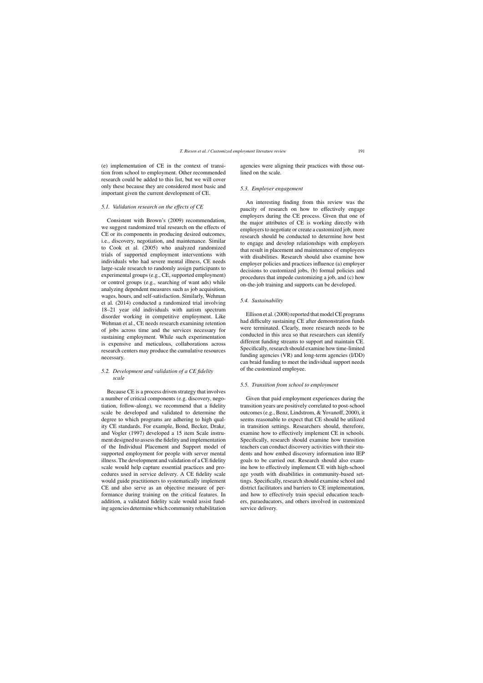(e) implementation of CE in the context of transition from school to employment. Other recommended research could be added to this list, but we will cover only these because they are considered most basic and important given the current development of CE.

# *5.1. Validation research on the effects of CE*

Consistent with Brown's (2009) recommendation, we suggest randomized trial research on the effects of CE or its components in producing desired outcomes, i.e., discovery, negotiation, and maintenance. Similar to Cook et al. (2005) who analyzed randomized trials of supported employment interventions with individuals who had severe mental illness, CE needs large-scale research to randomly assign participants to experimental groups (e.g., CE, supported employment) or control groups (e.g., searching of want ads) while analyzing dependent measures such as job acquisition, wages, hours, and self-satisfaction. Similarly, Wehman et al. (2014) conducted a randomized trial involving 18–21 year old individuals with autism spectrum disorder working in competitive employment. Like Wehman et al., CE needs research examining retention of jobs across time and the services necessary for sustaining employment. While such experimentation is expensive and meticulous, collaborations across research centers may produce the cumulative resources necessary.

# *5.2. Development and validation of a CE fidelity scale*

Because CE is a process driven strategy that involves a number of critical components (e.g. discovery, negotiation, follow-along), we recommend that a fidelity scale be developed and validated to determine the degree to which programs are adhering to high quality CE standards. For example, Bond, Becker, Drake, and Vogler (1997) developed a 15 item Scale instrument designed to assess the fidelity and implementation of the Individual Placement and Support model of supported employment for people with server mental illness. The development and validation of a CE fidelity scale would help capture essential practices and procedures used in service delivery. A CE fidelity scale would guide practitioners to systematically implement CE and also serve as an objective measure of performance during training on the critical features. In addition, a validated fidelity scale would assist funding agencies determine which community rehabilitation

agencies were aligning their practices with those outlined on the scale.

# *5.3. Employer engagement*

An interesting finding from this review was the paucity of research on how to effectively engage employers during the CE process. Given that one of the major attributes of CE is working directly with employers to negotiate or create a customized job, more research should be conducted to determine how best to engage and develop relationships with employers that result in placement and maintenance of employees with disabilities. Research should also examine how employer policies and practices influence (a) employer decisions to customized jobs, (b) formal policies and procedures that impede customizing a job, and (c) how on-the-job training and supports can be developed.

#### *5.4. Sustainability*

Ellison et al. (2008) reported that model CE programs had difficulty sustaining CE after demonstration funds were terminated. Clearly, more research needs to be conducted in this area so that researchers can identify different funding streams to support and maintain CE. Specifically, research should examine how time-limited funding agencies (VR) and long-term agencies (I/DD) can braid funding to meet the individual support needs of the customized employee.

#### *5.5. Transition from school to employment*

Given that paid employment experiences during the transition years are positively correlated to post-school outcomes (e.g., Benz, Lindstrom, & Yovanoff, 2000), it seems reasonable to expect that CE should be utilized in transition settings. Researchers should, therefore, examine how to effectively implement CE in schools. Specifically, research should examine how transition teachers can conduct discovery activities with their students and how embed discovery information into IEP goals to be carried out. Research should also examine how to effectively implement CE with high-school age youth with disabilities in community-based settings. Specifically, research should examine school and district facilitators and barriers to CE implementation, and how to effectively train special education teachers, paraeducators, and others involved in customized service delivery.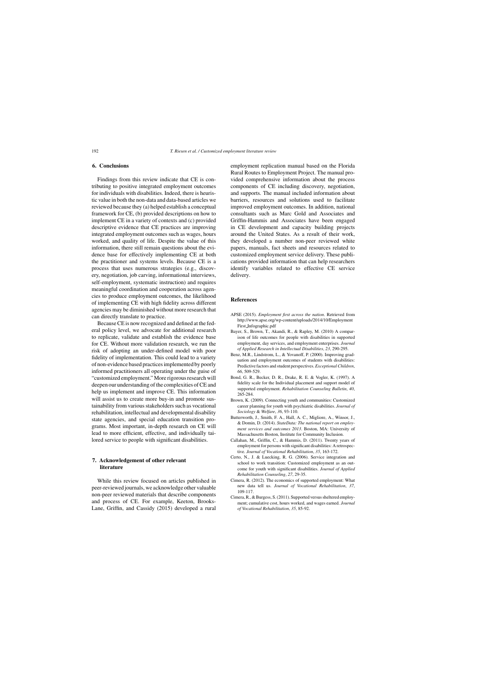# **6. Conclusions**

Findings from this review indicate that CE is contributing to positive integrated employment outcomes for individuals with disabilities. Indeed, there is heuristic value in both the non-data and data-based articles we reviewed because they (a) helped establish a conceptual framework for CE, (b) provided descriptions on how to implement CE in a variety of contexts and (c) provided descriptive evidence that CE practices are improving integrated employment outcomes such as wages, hours worked, and quality of life. Despite the value of this information, there still remain questions about the evidence base for effectively implementing CE at both the practitioner and systems levels. Because CE is a process that uses numerous strategies (e.g., discovery, negotiation, job carving, informational interviews, self-employment, systematic instruction) and requires meaningful coordination and cooperation across agencies to produce employment outcomes, the likelihood of implementing CE with high fidelity across different agencies may be diminished without more research that can directly translate to practice.

Because CE is now recognized and defined at the federal policy level, we advocate for additional research to replicate, validate and establish the evidence base for CE. Without more validation research, we run the risk of adopting an under-defined model with poor fidelity of implementation. This could lead to a variety of non-evidence based practices implemented by poorly informed practitioners all operating under the guise of "customized employment." More rigorous research will deepen our understanding of the complexities of CE and help us implement and improve CE. This information will assist us to create more buy-in and promote sustainability from various stakeholders such as vocational rehabilitation, intellectual and developmental disability state agencies, and special education transition programs. Most important, in-depth research on CE will lead to more efficient, effective, and individually tailored service to people with significant disabilities.

# **7. Acknowledgement of other relevant literature**

While this review focused on articles published in peer-reviewed journals, we acknowledge other valuable non-peer reviewed materials that describe components and process of CE. For example, Keeton, Brooks-Lane, Griffin, and Cassidy (2015) developed a rural employment replication manual based on the Florida Rural Routes to Employment Project. The manual provided comprehensive information about the process components of CE including discovery, negotiation, and supports. The manual included information about barriers, resources and solutions used to facilitate improved employment outcomes. In addition, national consultants such as Marc Gold and Associates and Griffin-Hammis and Associates have been engaged in CE development and capacity building projects around the United States. As a result of their work, they developed a number non-peer reviewed white papers, manuals, fact sheets and resources related to customized employment service delivery. These publications provided information that can help researchers identify variables related to effective CE service delivery.

#### **References**

- APSE (2015). *Employment first across the nation*. Retrieved from [http://www.apse.org/wp-content/uploads/2014/10/Employment](http://www.apse.org/wp-content/uploads/2014/10/EmploymentFirst_Infographic.pdf) First [Infographic.pdf](http://www.apse.org/wp-content/uploads/2014/10/EmploymentFirst_Infographic.pdf)
- Bayer, S., Brown, T., Akandi, R., & Rapley, M. (2010) A comparison of life outcomes for people with disabilities in supported employment, day services, and employment enterprises. *Journal of Applied Research in Intellectual Disabilities*, *23*, 290-295.
- Benz, M.R., Lindstrom, L., & Yovanoff, P. (2000). Improving graduation and employment outcomes of students with disabilities: Predictive factors and student perspectives. *Exceptional Children*, *66*, 509-529.
- Bond, G. R., Becker, D. R., Drake, R. E. & Vogler, K. (1997). A fidelity scale for the Individual placement and support model of supported employment. *Rehabilitation Counseling Bulletin*, *40*, 265-284.
- Brown, K. (2009). Connecting youth and communities: Customized career planning for youth with psychiatric disabilities. *Journal of Sociology* & *Welfare*, *36*, 93-110.
- Butterworth, J., Smith, F. A., Hall, A. C., Migliore, A., Winsor, J., & Domin, D. (2014). *StateData: The national report on employment services and outcomes 2013*. Boston, MA: University of Massachusetts Boston, Institute for Community Inclusion.
- Callahan, M., Griffin, C., & Hammis, D. (2011). Twenty years of employment for persons with significant disabilities: A retrospective. *Journal of Vocational Rehabilitation*, *35*, 163-172.
- Certo, N., J. & Luecking, R. G. (2006). Service integration and school to work transition: Customized employment as an outcome for youth with significant disabilities. *Journal of Applied Rehabilitation Counseling*, *27*, 29-35.
- Cimera, R. (2012). The economics of supported employment: What new data tell us. *Journal of Vocational Rehabilitation*, *37*, 109-117.
- Cimera, R., & Burgess, S. (2011). Supported versus sheltered employment; cumulative cost, hours worked, and wages earned. *Journal of Vocational Rehabilitation*, *35*, 85-92.